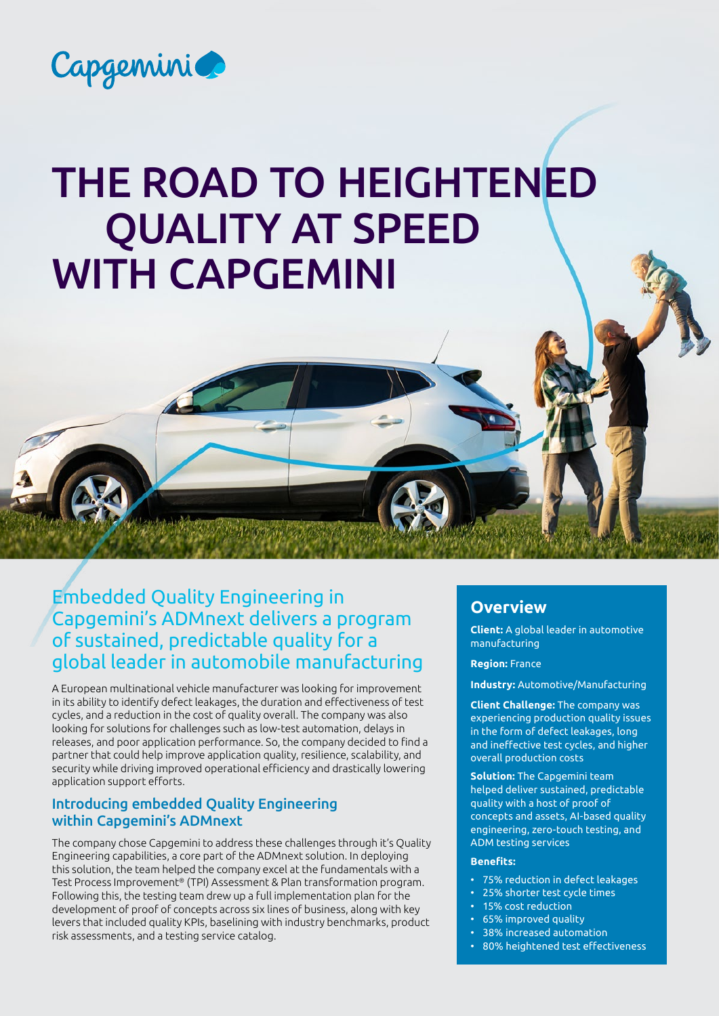

# THE ROAD TO HEIGHTENED QUALITY AT SPEED WITH CAPGEMINI

# Embedded Quality Engineering in Capgemini's ADMnext delivers a program of sustained, predictable quality for a global leader in automobile manufacturing

A European multinational vehicle manufacturer was looking for improvement in its ability to identify defect leakages, the duration and effectiveness of test cycles, and a reduction in the cost of quality overall. The company was also looking for solutions for challenges such as low-test automation, delays in releases, and poor application performance. So, the company decided to find a partner that could help improve application quality, resilience, scalability, and security while driving improved operational efficiency and drastically lowering application support efforts.

#### Introducing embedded Quality Engineering within Capgemini's ADMnext

The company chose Capgemini to address these challenges through it's Quality Engineering capabilities, a core part of the ADMnext solution. In deploying this solution, the team helped the company excel at the fundamentals with a Test Process Improvement® (TPI) Assessment & Plan transformation program. Following this, the testing team drew up a full implementation plan for the development of proof of concepts across six lines of business, along with key levers that included quality KPIs, baselining with industry benchmarks, product risk assessments, and a testing service catalog.

# **Overview**

**Client:** A global leader in automotive manufacturing

**Region:** France

**Industry:** Automotive/Manufacturing

**Client Challenge:** The company was experiencing production quality issues in the form of defect leakages, long and ineffective test cycles, and higher overall production costs

**Solution:** The Capgemini team helped deliver sustained, predictable quality with a host of proof of concepts and assets, AI-based quality engineering, zero-touch testing, and ADM testing services

#### **Benefits:**

- 75% reduction in defect leakages
- 25% shorter test cycle times
- 15% cost reduction
- 65% improved quality
- 38% increased automation
- 80% heightened test effectiveness